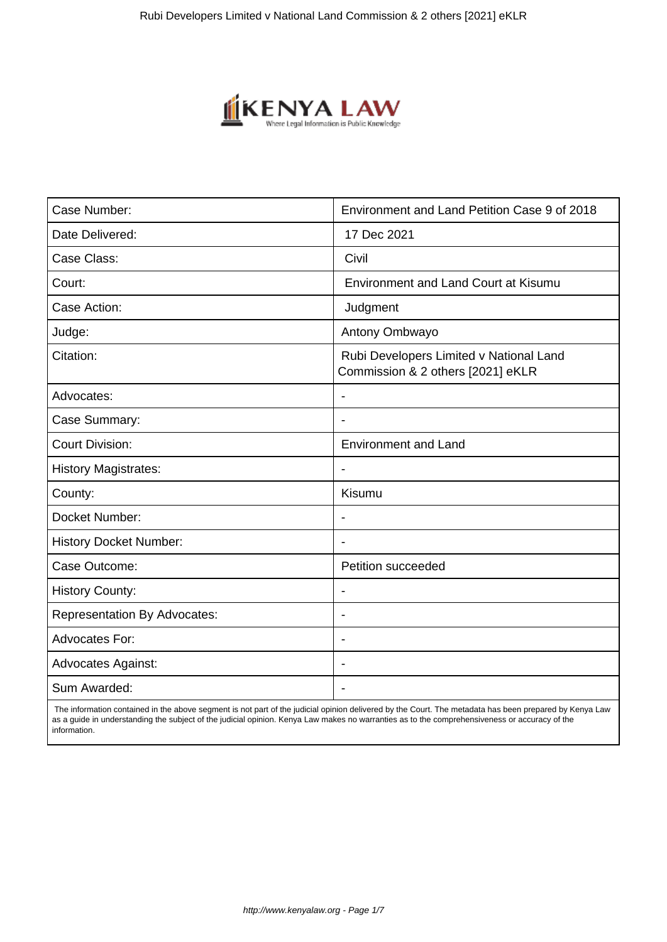

| Case Number:                        | Environment and Land Petition Case 9 of 2018                                 |
|-------------------------------------|------------------------------------------------------------------------------|
| Date Delivered:                     | 17 Dec 2021                                                                  |
| Case Class:                         | Civil                                                                        |
| Court:                              | <b>Environment and Land Court at Kisumu</b>                                  |
| Case Action:                        | Judgment                                                                     |
| Judge:                              | Antony Ombwayo                                                               |
| Citation:                           | Rubi Developers Limited v National Land<br>Commission & 2 others [2021] eKLR |
| Advocates:                          |                                                                              |
| Case Summary:                       |                                                                              |
| <b>Court Division:</b>              | <b>Environment and Land</b>                                                  |
| <b>History Magistrates:</b>         | $\overline{\phantom{a}}$                                                     |
| County:                             | Kisumu                                                                       |
| Docket Number:                      |                                                                              |
| <b>History Docket Number:</b>       |                                                                              |
| Case Outcome:                       | <b>Petition succeeded</b>                                                    |
| <b>History County:</b>              | $\overline{\phantom{a}}$                                                     |
| <b>Representation By Advocates:</b> | $\overline{\phantom{a}}$                                                     |
| <b>Advocates For:</b>               | $\blacksquare$                                                               |
| <b>Advocates Against:</b>           |                                                                              |
| Sum Awarded:                        |                                                                              |

 The information contained in the above segment is not part of the judicial opinion delivered by the Court. The metadata has been prepared by Kenya Law as a guide in understanding the subject of the judicial opinion. Kenya Law makes no warranties as to the comprehensiveness or accuracy of the information.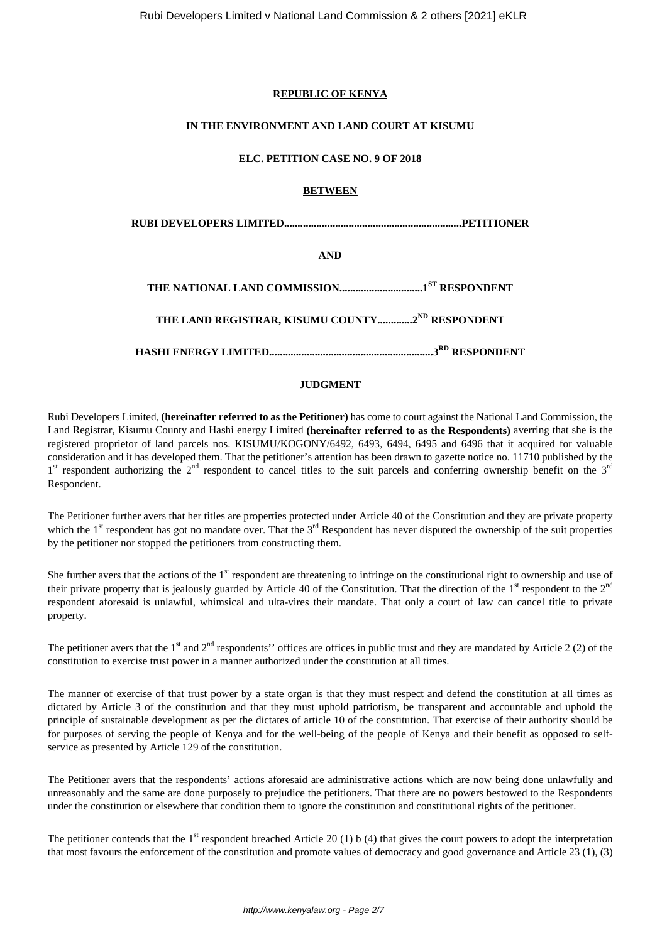## **REPUBLIC OF KENYA**

#### **IN THE ENVIRONMENT AND LAND COURT AT KISUMU**

#### **ELC. PETITION CASE NO. 9 OF 2018**

## **BETWEEN**

**RUBI DEVELOPERS LIMITED..................................................................PETITIONER**

**AND**

**THE NATIONAL LAND COMMISSION...............................1ST RESPONDENT**

**THE LAND REGISTRAR, KISUMU COUNTY.............2ND RESPONDENT**

**HASHI ENERGY LIMITED.............................................................3RD RESPONDENT**

## **JUDGMENT**

Rubi Developers Limited, **(hereinafter referred to as the Petitioner)** has come to court against the National Land Commission, the Land Registrar, Kisumu County and Hashi energy Limited **(hereinafter referred to as the Respondents)** averring that she is the registered proprietor of land parcels nos. KISUMU/KOGONY/6492, 6493, 6494, 6495 and 6496 that it acquired for valuable consideration and it has developed them. That the petitioner's attention has been drawn to gazette notice no. 11710 published by the 1<sup>st</sup> respondent authorizing the 2<sup>nd</sup> respondent to cancel titles to the suit parcels and conferring ownership benefit on the 3<sup>rd</sup> Respondent.

The Petitioner further avers that her titles are properties protected under Article 40 of the Constitution and they are private property which the  $1<sup>st</sup>$  respondent has got no mandate over. That the  $3<sup>rd</sup>$  Respondent has never disputed the ownership of the suit properties by the petitioner nor stopped the petitioners from constructing them.

She further avers that the actions of the 1<sup>st</sup> respondent are threatening to infringe on the constitutional right to ownership and use of their private property that is jealously guarded by Article 40 of the Constitution. That the direction of the  $1<sup>st</sup>$  respondent to the  $2<sup>nd</sup>$ respondent aforesaid is unlawful, whimsical and ulta-vires their mandate. That only a court of law can cancel title to private property.

The petitioner avers that the  $1<sup>st</sup>$  and  $2<sup>nd</sup>$  respondents'' offices are offices in public trust and they are mandated by Article 2 (2) of the constitution to exercise trust power in a manner authorized under the constitution at all times.

The manner of exercise of that trust power by a state organ is that they must respect and defend the constitution at all times as dictated by Article 3 of the constitution and that they must uphold patriotism, be transparent and accountable and uphold the principle of sustainable development as per the dictates of article 10 of the constitution. That exercise of their authority should be for purposes of serving the people of Kenya and for the well-being of the people of Kenya and their benefit as opposed to selfservice as presented by Article 129 of the constitution.

The Petitioner avers that the respondents' actions aforesaid are administrative actions which are now being done unlawfully and unreasonably and the same are done purposely to prejudice the petitioners. That there are no powers bestowed to the Respondents under the constitution or elsewhere that condition them to ignore the constitution and constitutional rights of the petitioner.

The petitioner contends that the  $1<sup>st</sup>$  respondent breached Article 20 (1) b (4) that gives the court powers to adopt the interpretation that most favours the enforcement of the constitution and promote values of democracy and good governance and Article 23 (1), (3)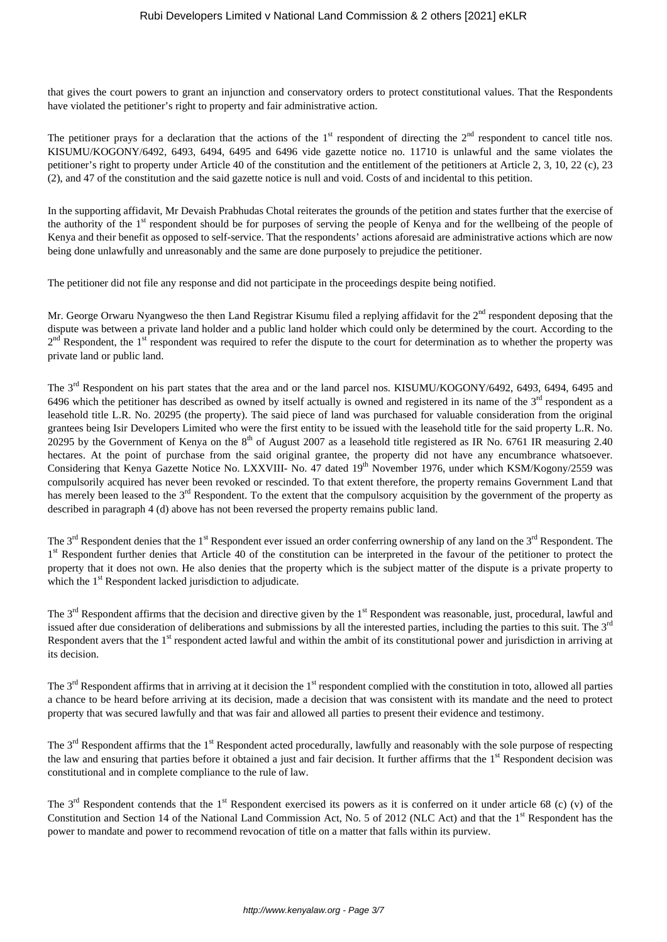that gives the court powers to grant an injunction and conservatory orders to protect constitutional values. That the Respondents have violated the petitioner's right to property and fair administrative action.

The petitioner prays for a declaration that the actions of the  $1<sup>st</sup>$  respondent of directing the  $2<sup>nd</sup>$  respondent to cancel title nos. KISUMU/KOGONY/6492, 6493, 6494, 6495 and 6496 vide gazette notice no. 11710 is unlawful and the same violates the petitioner's right to property under Article 40 of the constitution and the entitlement of the petitioners at Article 2, 3, 10, 22 (c), 23 (2), and 47 of the constitution and the said gazette notice is null and void. Costs of and incidental to this petition.

In the supporting affidavit, Mr Devaish Prabhudas Chotal reiterates the grounds of the petition and states further that the exercise of the authority of the 1<sup>st</sup> respondent should be for purposes of serving the people of Kenya and for the wellbeing of the people of Kenya and their benefit as opposed to self-service. That the respondents' actions aforesaid are administrative actions which are now being done unlawfully and unreasonably and the same are done purposely to prejudice the petitioner.

The petitioner did not file any response and did not participate in the proceedings despite being notified.

Mr. George Orwaru Nyangweso the then Land Registrar Kisumu filed a replying affidavit for the  $2<sup>nd</sup>$  respondent deposing that the dispute was between a private land holder and a public land holder which could only be determined by the court. According to the  $2<sup>nd</sup>$  Respondent, the 1<sup>st</sup> respondent was required to refer the dispute to the court for determination as to whether the property was private land or public land.

The 3<sup>rd</sup> Respondent on his part states that the area and or the land parcel nos. KISUMU/KOGONY/6492, 6493, 6494, 6495 and 6496 which the petitioner has described as owned by itself actually is owned and registered in its name of the  $3<sup>rd</sup>$  respondent as a leasehold title L.R. No. 20295 (the property). The said piece of land was purchased for valuable consideration from the original grantees being Isir Developers Limited who were the first entity to be issued with the leasehold title for the said property L.R. No. 20295 by the Government of Kenya on the  $8<sup>th</sup>$  of August 2007 as a leasehold title registered as IR No. 6761 IR measuring 2.40 hectares. At the point of purchase from the said original grantee, the property did not have any encumbrance whatsoever. Considering that Kenya Gazette Notice No. LXXVIII- No. 47 dated 19<sup>th</sup> November 1976, under which KSM/Kogony/2559 was compulsorily acquired has never been revoked or rescinded. To that extent therefore, the property remains Government Land that has merely been leased to the 3<sup>rd</sup> Respondent. To the extent that the compulsory acquisition by the government of the property as described in paragraph 4 (d) above has not been reversed the property remains public land.

The  $3<sup>rd</sup>$  Respondent denies that the 1<sup>st</sup> Respondent ever issued an order conferring ownership of any land on the  $3<sup>rd</sup>$  Respondent. The 1<sup>st</sup> Respondent further denies that Article 40 of the constitution can be interpreted in the favour of the petitioner to protect the property that it does not own. He also denies that the property which is the subject matter of the dispute is a private property to which the 1<sup>st</sup> Respondent lacked jurisdiction to adjudicate.

The  $3<sup>rd</sup>$  Respondent affirms that the decision and directive given by the  $1<sup>st</sup>$  Respondent was reasonable, just, procedural, lawful and issued after due consideration of deliberations and submissions by all the interested parties, including the parties to this suit. The  $3<sup>rd</sup>$ Respondent avers that the 1<sup>st</sup> respondent acted lawful and within the ambit of its constitutional power and jurisdiction in arriving at its decision.

The  $3<sup>rd</sup>$  Respondent affirms that in arriving at it decision the  $1<sup>st</sup>$  respondent complied with the constitution in toto, allowed all parties a chance to be heard before arriving at its decision, made a decision that was consistent with its mandate and the need to protect property that was secured lawfully and that was fair and allowed all parties to present their evidence and testimony.

The  $3<sup>rd</sup>$  Respondent affirms that the  $1<sup>st</sup>$  Respondent acted procedurally, lawfully and reasonably with the sole purpose of respecting the law and ensuring that parties before it obtained a just and fair decision. It further affirms that the 1<sup>st</sup> Respondent decision was constitutional and in complete compliance to the rule of law.

The  $3<sup>rd</sup>$  Respondent contends that the 1<sup>st</sup> Respondent exercised its powers as it is conferred on it under article 68 (c) (y) of the Constitution and Section 14 of the National Land Commission Act, No. 5 of 2012 (NLC Act) and that the 1<sup>st</sup> Respondent has the power to mandate and power to recommend revocation of title on a matter that falls within its purview.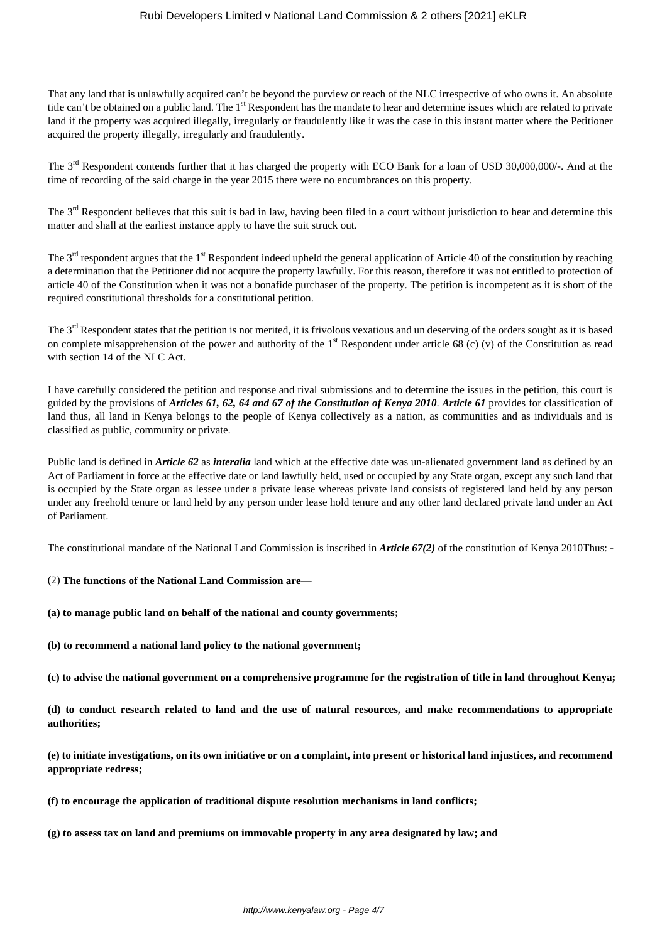That any land that is unlawfully acquired can't be beyond the purview or reach of the NLC irrespective of who owns it. An absolute title can't be obtained on a public land. The  $1<sup>st</sup>$  Respondent has the mandate to hear and determine issues which are related to private land if the property was acquired illegally, irregularly or fraudulently like it was the case in this instant matter where the Petitioner acquired the property illegally, irregularly and fraudulently.

The 3<sup>rd</sup> Respondent contends further that it has charged the property with ECO Bank for a loan of USD 30,000,000/-. And at the time of recording of the said charge in the year 2015 there were no encumbrances on this property.

The 3<sup>rd</sup> Respondent believes that this suit is bad in law, having been filed in a court without jurisdiction to hear and determine this matter and shall at the earliest instance apply to have the suit struck out.

The 3<sup>rd</sup> respondent argues that the 1<sup>st</sup> Respondent indeed upheld the general application of Article 40 of the constitution by reaching a determination that the Petitioner did not acquire the property lawfully. For this reason, therefore it was not entitled to protection of article 40 of the Constitution when it was not a bonafide purchaser of the property. The petition is incompetent as it is short of the required constitutional thresholds for a constitutional petition.

The 3<sup>rd</sup> Respondent states that the petition is not merited, it is frivolous vexatious and un deserving of the orders sought as it is based on complete misapprehension of the power and authority of the 1st Respondent under article 68 (c) (v) of the Constitution as read with section 14 of the NLC Act.

I have carefully considered the petition and response and rival submissions and to determine the issues in the petition, this court is guided by the provisions of *Articles 61, 62, 64 and 67 of the Constitution of Kenya 2010*. *Article 61* provides for classification of land thus, all land in Kenya belongs to the people of Kenya collectively as a nation, as communities and as individuals and is classified as public, community or private.

Public land is defined in *Article 62* as *interalia* land which at the effective date was un-alienated government land as defined by an Act of Parliament in force at the effective date or land lawfully held, used or occupied by any State organ, except any such land that is occupied by the State organ as lessee under a private lease whereas private land consists of registered land held by any person under any freehold tenure or land held by any person under lease hold tenure and any other land declared private land under an Act of Parliament.

The constitutional mandate of the National Land Commission is inscribed in *Article 67(2)* of the constitution of Kenya 2010Thus: -

#### (2) **The functions of the National Land Commission are—**

#### **(a) to manage public land on behalf of the national and county governments;**

**(b) to recommend a national land policy to the national government;**

**(c) to advise the national government on a comprehensive programme for the registration of title in land throughout Kenya;**

**(d) to conduct research related to land and the use of natural resources, and make recommendations to appropriate authorities;**

**(e) to initiate investigations, on its own initiative or on a complaint, into present or historical land injustices, and recommend appropriate redress;**

**(f) to encourage the application of traditional dispute resolution mechanisms in land conflicts;**

**(g) to assess tax on land and premiums on immovable property in any area designated by law; and**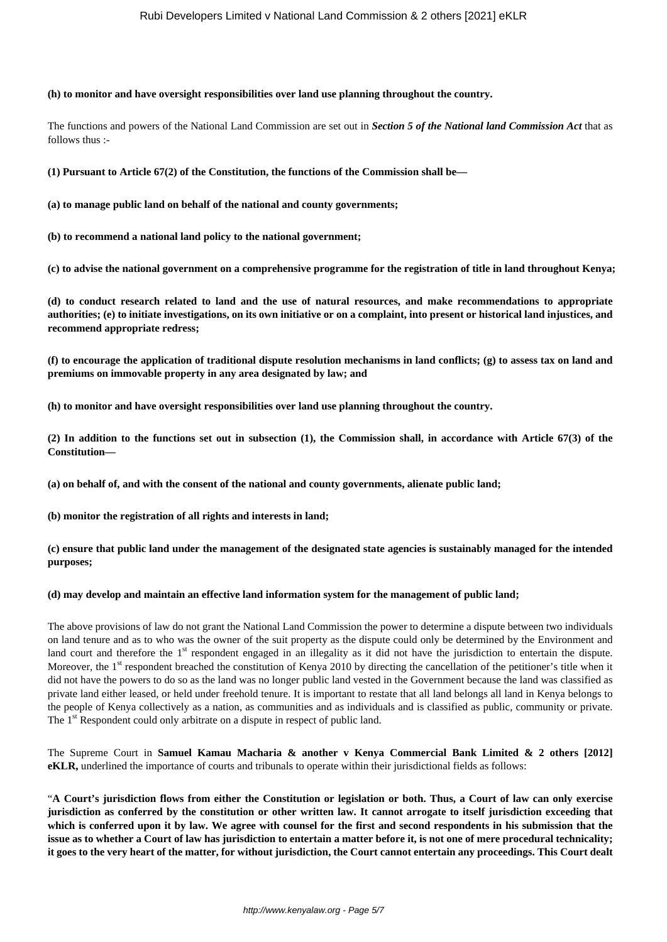**(h) to monitor and have oversight responsibilities over land use planning throughout the country.**

The functions and powers of the National Land Commission are set out in *Section 5 of the National land Commission Act* that as follows thus :-

**(1) Pursuant to Article 67(2) of the Constitution, the functions of the Commission shall be—** 

**(a) to manage public land on behalf of the national and county governments;** 

**(b) to recommend a national land policy to the national government;** 

**(c) to advise the national government on a comprehensive programme for the registration of title in land throughout Kenya;** 

**(d) to conduct research related to land and the use of natural resources, and make recommendations to appropriate authorities; (e) to initiate investigations, on its own initiative or on a complaint, into present or historical land injustices, and recommend appropriate redress;** 

**(f) to encourage the application of traditional dispute resolution mechanisms in land conflicts; (g) to assess tax on land and premiums on immovable property in any area designated by law; and** 

**(h) to monitor and have oversight responsibilities over land use planning throughout the country.** 

**(2) In addition to the functions set out in subsection (1), the Commission shall, in accordance with Article 67(3) of the Constitution—** 

**(a) on behalf of, and with the consent of the national and county governments, alienate public land;** 

**(b) monitor the registration of all rights and interests in land;**

**(c) ensure that public land under the management of the designated state agencies is sustainably managed for the intended purposes;** 

#### **(d) may develop and maintain an effective land information system for the management of public land;**

The above provisions of law do not grant the National Land Commission the power to determine a dispute between two individuals on land tenure and as to who was the owner of the suit property as the dispute could only be determined by the Environment and land court and therefore the 1<sup>st</sup> respondent engaged in an illegality as it did not have the jurisdiction to entertain the dispute. Moreover, the 1<sup>st</sup> respondent breached the constitution of Kenya 2010 by directing the cancellation of the petitioner's title when it did not have the powers to do so as the land was no longer public land vested in the Government because the land was classified as private land either leased, or held under freehold tenure. It is important to restate that all land belongs all land in Kenya belongs to the people of Kenya collectively as a nation, as communities and as individuals and is classified as public, community or private. The 1<sup>st</sup> Respondent could only arbitrate on a dispute in respect of public land.

The Supreme Court in **Samuel Kamau Macharia & another v Kenya Commercial Bank Limited & 2 others [2012] eKLR**, underlined the importance of courts and tribunals to operate within their jurisdictional fields as follows:

"**A Court's jurisdiction flows from either the Constitution or legislation or both. Thus, a Court of law can only exercise jurisdiction as conferred by the constitution or other written law. It cannot arrogate to itself jurisdiction exceeding that which is conferred upon it by law. We agree with counsel for the first and second respondents in his submission that the issue as to whether a Court of law has jurisdiction to entertain a matter before it, is not one of mere procedural technicality; it goes to the very heart of the matter, for without jurisdiction, the Court cannot entertain any proceedings. This Court dealt**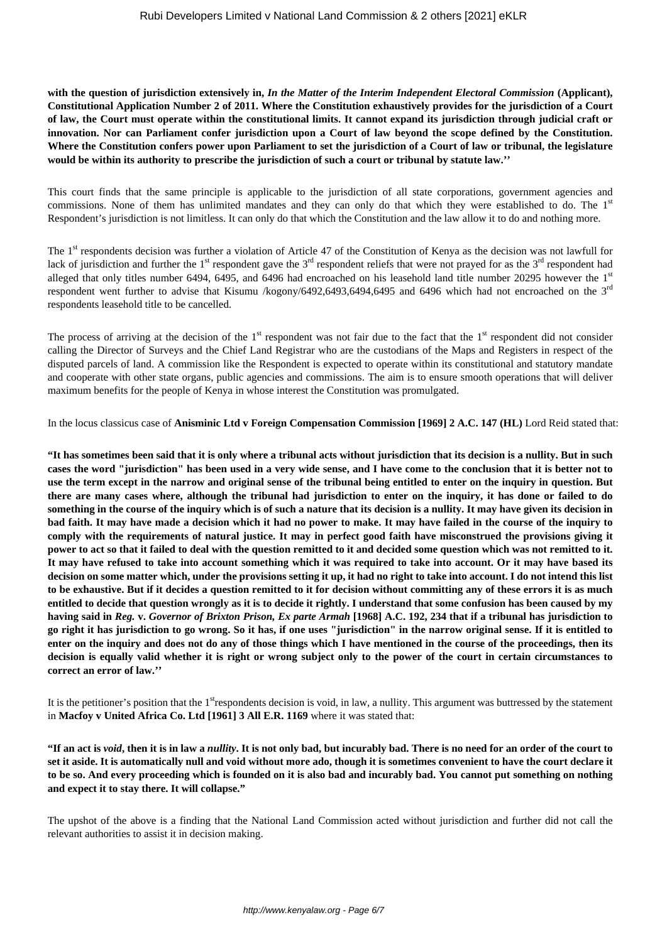**with the question of jurisdiction extensively in,** *In the Matter of the Interim Independent Electoral Commission* **(Applicant), Constitutional Application Number 2 of 2011. Where the Constitution exhaustively provides for the jurisdiction of a Court of law, the Court must operate within the constitutional limits. It cannot expand its jurisdiction through judicial craft or innovation. Nor can Parliament confer jurisdiction upon a Court of law beyond the scope defined by the Constitution. Where the Constitution confers power upon Parliament to set the jurisdiction of a Court of law or tribunal, the legislature would be within its authority to prescribe the jurisdiction of such a court or tribunal by statute law.''**

This court finds that the same principle is applicable to the jurisdiction of all state corporations, government agencies and commissions. None of them has unlimited mandates and they can only do that which they were established to do. The  $1<sup>st</sup>$ Respondent's jurisdiction is not limitless. It can only do that which the Constitution and the law allow it to do and nothing more.

The 1<sup>st</sup> respondents decision was further a violation of Article 47 of the Constitution of Kenya as the decision was not lawfull for lack of jurisdiction and further the 1<sup>st</sup> respondent gave the 3<sup>rd</sup> respondent reliefs that were not prayed for as the 3<sup>rd</sup> respondent had alleged that only titles number 6494, 6495, and 6496 had encroached on his leasehold land title number 20295 however the  $1<sup>st</sup>$ respondent went further to advise that Kisumu /kogony/6492,6493,6494,6495 and 6496 which had not encroached on the  $3<sup>rd</sup>$ respondents leasehold title to be cancelled.

The process of arriving at the decision of the 1st respondent was not fair due to the fact that the  $1<sup>st</sup>$  respondent did not consider calling the Director of Surveys and the Chief Land Registrar who are the custodians of the Maps and Registers in respect of the disputed parcels of land. A commission like the Respondent is expected to operate within its constitutional and statutory mandate and cooperate with other state organs, public agencies and commissions. The aim is to ensure smooth operations that will deliver maximum benefits for the people of Kenya in whose interest the Constitution was promulgated.

In the locus classicus case of **Anisminic Ltd v Foreign Compensation Commission [1969] 2 A.C. 147 (HL)** Lord Reid stated that:

**"It has sometimes been said that it is only where a tribunal acts without jurisdiction that its decision is a nullity. But in such cases the word "jurisdiction" has been used in a very wide sense, and I have come to the conclusion that it is better not to use the term except in the narrow and original sense of the tribunal being entitled to enter on the inquiry in question. But there are many cases where, although the tribunal had jurisdiction to enter on the inquiry, it has done or failed to do something in the course of the inquiry which is of such a nature that its decision is a nullity. It may have given its decision in bad faith. It may have made a decision which it had no power to make. It may have failed in the course of the inquiry to comply with the requirements of natural justice. It may in perfect good faith have misconstrued the provisions giving it power to act so that it failed to deal with the question remitted to it and decided some question which was not remitted to it. It may have refused to take into account something which it was required to take into account. Or it may have based its decision on some matter which, under the provisions setting it up, it had no right to take into account. I do not intend this list to be exhaustive. But if it decides a question remitted to it for decision without committing any of these errors it is as much entitled to decide that question wrongly as it is to decide it rightly. I understand that some confusion has been caused by my having said in** *Reg.* **v.** *Governor of Brixton Prison, Ex parte Armah* **[1968] A.C. 192, 234 that if a tribunal has jurisdiction to go right it has jurisdiction to go wrong. So it has, if one uses "jurisdiction" in the narrow original sense. If it is entitled to enter on the inquiry and does not do any of those things which I have mentioned in the course of the proceedings, then its decision is equally valid whether it is right or wrong subject only to the power of the court in certain circumstances to correct an error of law.''** 

It is the petitioner's position that the 1<sup>st</sup>respondents decision is void, in law, a nullity. This argument was buttressed by the statement in **Macfoy v United Africa Co. Ltd [1961] 3 All E.R. 1169** where it was stated that:

**"If an act is** *void***, then it is in law a** *nullity***. It is not only bad, but incurably bad. There is no need for an order of the court to set it aside. It is automatically null and void without more ado, though it is sometimes convenient to have the court declare it to be so. And every proceeding which is founded on it is also bad and incurably bad. You cannot put something on nothing and expect it to stay there. It will collapse."**

The upshot of the above is a finding that the National Land Commission acted without jurisdiction and further did not call the relevant authorities to assist it in decision making.